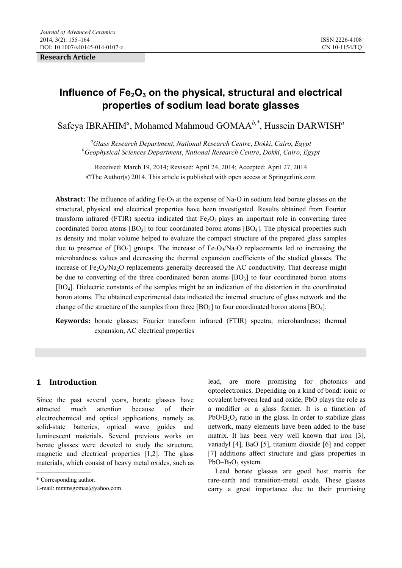**Research Article** 

# Influence of Fe<sub>2</sub>O<sub>3</sub> on the physical, structural and electrical **properties of sodium lead borate glasses**

Safeya IBRAHIM<sup>a</sup>, Mohamed Mahmoud GOMAA<sup>b,\*</sup>, Hussein DARWISH<sup>a</sup>

*a Glass Research Department*, *National Research Centre*, *Dokki*, *Cairo*, *Egypt b Geophysical Sciences Department*, *National Research Centre*, *Dokki*, *Cairo*, *Egypt* 

Received: March 19, 2014; Revised: April 24, 2014; Accepted: April 27, 2014 ©The Author(s) 2014. This article is published with open access at Springerlink.com

**Abstract:** The influence of adding  $Fe_2O_3$  at the expense of Na<sub>2</sub>O in sodium lead borate glasses on the structural, physical and electrical properties have been investigated. Results obtained from Fourier transform infrared (FTIR) spectra indicated that  $Fe_2O_3$  plays an important role in converting three coordinated boron atoms  $[BO_3]$  to four coordinated boron atoms  $[BO_4]$ . The physical properties such as density and molar volume helped to evaluate the compact structure of the prepared glass samples due to presence of  $[BO_4]$  groups. The increase of  $FeO_3/Na_2O$  replacements led to increasing the microhardness values and decreasing the thermal expansion coefficients of the studied glasses. The increase of  $Fe<sub>2</sub>O<sub>3</sub>/Na<sub>2</sub>O$  replacements generally decreased the AC conductivity. That decrease might be due to converting of the three coordinated boron atoms  $[BO<sub>3</sub>]$  to four coordinated boron atoms [BO4]. Dielectric constants of the samples might be an indication of the distortion in the coordinated boron atoms. The obtained experimental data indicated the internal structure of glass network and the change of the structure of the samples from three  $[BO_3]$  to four coordinated boron atoms  $[BO_4]$ .

**Keywords:** borate glasses; Fourier transform infrared (FTIR) spectra; microhardness; thermal expansion; AC electrical properties

# **1 Introduction**

Since the past several years, borate glasses have attracted much attention because of their electrochemical and optical applications, namely as solid-state batteries, optical wave guides and luminescent materials. Several previous works on borate glasses were devoted to study the structure, magnetic and electrical properties [1,2]. The glass materials, which consist of heavy metal oxides, such as lead, are more promising for photonics and optoelectronics. Depending on a kind of bond: ionic or covalent between lead and oxide, PbO plays the role as a modifier or a glass former. It is a function of  $PbO/B<sub>2</sub>O<sub>3</sub>$  ratio in the glass. In order to stabilize glass network, many elements have been added to the base matrix. It has been very well known that iron [3], vanadyl [4], BaO [5], titanium dioxide [6] and copper [7] additions affect structure and glass properties in  $PbO-B<sub>2</sub>O<sub>3</sub>$  system.

Lead borate glasses are good host matrix for rare-earth and transition-metal oxide. These glasses carry a great importance due to their promising

\* Corresponding author.

E-mail: mmmsgomaa@yahoo.com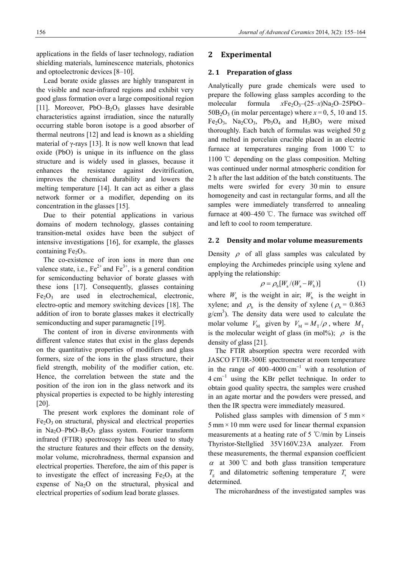applications in the fields of laser technology, radiation shielding materials, luminescence materials, photonics and optoelectronic devices [8–10].

Lead borate oxide glasses are highly transparent in the visible and near-infrared regions and exhibit very good glass formation over a large compositional region [11]. Moreover, PbO–B<sub>2</sub>O<sub>3</sub> glasses have desirable characteristics against irradiation, since the naturally occurring stable boron isotope is a good absorber of thermal neutrons [12] and lead is known as a shielding material of  $\gamma$ -rays [13]. It is now well known that lead oxide (PbO) is unique in its influence on the glass structure and is widely used in glasses, because it enhances the resistance against devitrification, improves the chemical durability and lowers the melting temperature [14]. It can act as either a glass network former or a modifier, depending on its concentration in the glasses [15].

Due to their potential applications in various domains of modern technology, glasses containing transition-metal oxides have been the subject of intensive investigations [16], for example, the glasses containing  $Fe<sub>2</sub>O<sub>3</sub>$ .

The co-existence of iron ions in more than one valence state, i.e.,  $Fe^{2+}$  and  $Fe^{3+}$ , is a general condition for semiconducting behavior of borate glasses with these ions [17]. Consequently, glasses containing  $Fe<sub>2</sub>O<sub>3</sub>$  are used in electrochemical, electronic, electro-optic and memory switching devices [18]. The addition of iron to borate glasses makes it electrically semiconducting and super paramagnetic [19].

The content of iron in diverse environments with different valence states that exist in the glass depends on the quantitative properties of modifiers and glass formers, size of the ions in the glass structure, their field strength, mobility of the modifier cation, etc. Hence, the correlation between the state and the position of the iron ion in the glass network and its physical properties is expected to be highly interesting [20].

The present work explores the dominant role of  $Fe<sub>2</sub>O<sub>3</sub>$  on structural, physical and electrical properties in Na<sub>2</sub>O–PbO–B<sub>2</sub>O<sub>3</sub> glass system. Fourier transform infrared (FTIR) spectroscopy has been used to study the structure features and their effects on the density, molar volume, microhradness, thermal expansion and electrical properties. Therefore, the aim of this paper is to investigate the effect of increasing  $Fe<sub>2</sub>O<sub>3</sub>$  at the expense of  $Na<sub>2</sub>O$  on the structural, physical and electrical properties of sodium lead borate glasses.

## **2 Experimental**

#### **2. 1 Preparation of glass**

Analytically pure grade chemicals were used to prepare the following glass samples according to the molecular formula  $xFe<sub>2</sub>O<sub>3</sub>-(25-x)Na<sub>2</sub>O-25PbO 50B_2O_3$  (in molar percentage) where  $x=0, 5, 10$  and 15.  $Fe<sub>2</sub>O<sub>3</sub>$ , Na<sub>2</sub>CO<sub>3</sub>, Pb<sub>3</sub>O<sub>4</sub> and H<sub>3</sub>BO<sub>3</sub> were mixed thoroughly. Each batch of formulas was weighed 50 g and melted in porcelain crucible placed in an electric furnace at temperatures ranging from 1000 ℃ to 1100 ℃ depending on the glass composition. Melting was continued under normal atmospheric condition for 2 h after the last addition of the batch constituents. The melts were swirled for every 30 min to ensure homogeneity and cast in rectangular forms, and all the samples were immediately transferred to annealing furnace at 400–450 ℃. The furnace was switched off and left to cool to room temperature.

#### **2. 2 Density and molar volume measurements**

Density  $\rho$  of all glass samples was calculated by employing the Archimedes principle using xylene and applying the relationship:

$$
\rho = \rho_{\rm b}[W_{\rm a}/(W_{\rm a} - W_{\rm b})] \tag{1}
$$

where  $W_a$  is the weight in air;  $W_b$  is the weight in xylene; and  $\rho_b$  is the density of xylene ( $\rho_b = 0.863$  $g/cm<sup>3</sup>$ ). The density data were used to calculate the molar volume  $V_M$  given by  $V_M = M_T / \rho$ , where  $M_T$ is the molecular weight of glass (in mol%);  $\rho$  is the density of glass [21].

The FTIR absorption spectra were recorded with JASCO FT/IR-300E spectrometer at room temperature in the range of  $400-4000 \text{ cm}^{-1}$  with a resolution of  $4 \text{ cm}^{-1}$  using the KBr pellet technique. In order to obtain good quality spectra, the samples were crushed in an agate mortar and the powders were pressed, and then the IR spectra were immediately measured.

Polished glass samples with dimension of  $5 \text{ mm} \times$  $5 \text{ mm} \times 10 \text{ mm}$  were used for linear thermal expansion measurements at a heating rate of 5 ℃/min by Linseis Thyristor-Stellglied 35V160V.23A analyzer. From these measurements, the thermal expansion coefficient  $\alpha$  at 300 °C and both glass transition temperature  $T<sub>s</sub>$  and dilatometric softening temperature  $T<sub>s</sub>$  were determined.

The microhardness of the investigated samples was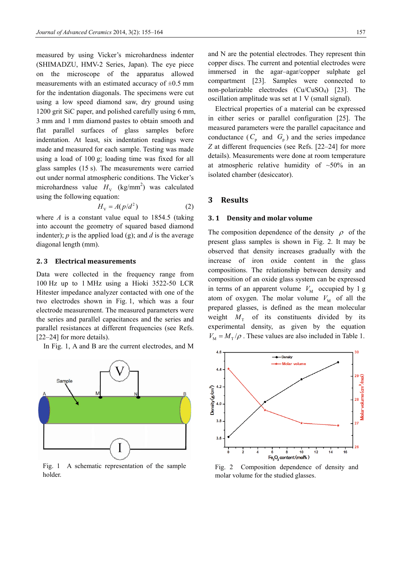measured by using Vicker's microhardness indenter (SHIMADZU, HMV-2 Series, Japan). The eye piece on the microscope of the apparatus allowed measurements with an estimated accuracy of  $\pm 0.5$  mm for the indentation diagonals. The specimens were cut using a low speed diamond saw, dry ground using 1200 grit SiC paper, and polished carefully using 6 mm, 3 mm and 1 mm diamond pastes to obtain smooth and flat parallel surfaces of glass samples before indentation. At least, six indentation readings were made and measured for each sample. Testing was made using a load of 100 g; loading time was fixed for all glass samples (15 s). The measurements were carried out under normal atmospheric conditions. The Vicker's microhardness value  $H_v$  (kg/mm<sup>2</sup>) was calculated using the following equation: 2

$$
H_{\rm V} = A(p/d^2) \tag{2}
$$

where  $A$  is a constant value equal to 1854.5 (taking into account the geometry of squared based diamond indenter);  $p$  is the applied load (g); and  $d$  is the average diagonal length (mm).

#### **2. 3 Electrical measurements**

Data were collected in the frequency range from 100 Hz up to 1 MHz using a Hioki 3522-50 LCR Hitester impedance analyzer contacted with one of the two electrodes shown in Fig. 1, which was a four electrode measurement. The measured parameters were the series and parallel capacitances and the series and parallel resistances at different frequencies (see Refs. [22–24] for more details).

In Fig. 1, A and B are the current electrodes, and M



Fig. 1 A schematic representation of the sample holder.

and N are the potential electrodes. They represent thin copper discs. The current and potential electrodes were immersed in the agar–agar/copper sulphate gel compartment [23]. Samples were connected to non-polarizable electrodes (Cu/CuSO4) [23]. The oscillation amplitude was set at 1 V (small signal).

Electrical properties of a material can be expressed in either series or parallel configuration [25]. The measured parameters were the parallel capacitance and conductance  $(C_p \text{ and } G_p)$  and the series impedance *Z* at different frequencies (see Refs. [22–24] for more details). Measurements were done at room temperature at atmospheric relative humidity of  $~50\%$  in an isolated chamber (desiccator).

#### **3 Results**

#### **3. 1 Density and molar volume**

The composition dependence of the density  $\rho$  of the present glass samples is shown in Fig. 2. It may be observed that density increases gradually with the increase of iron oxide content in the glass compositions. The relationship between density and composition of an oxide glass system can be expressed in terms of an apparent volume  $V_M$  occupied by 1 g atom of oxygen. The molar volume  $V_M$  of all the prepared glasses, is defined as the mean molecular weight  $M_{\text{T}}$  of its constituents divided by its experimental density, as given by the equation  $V_M = M_\text{T}/\rho$ . These values are also included in Table 1.



Fig. 2 Composition dependence of density and molar volume for the studied glasses.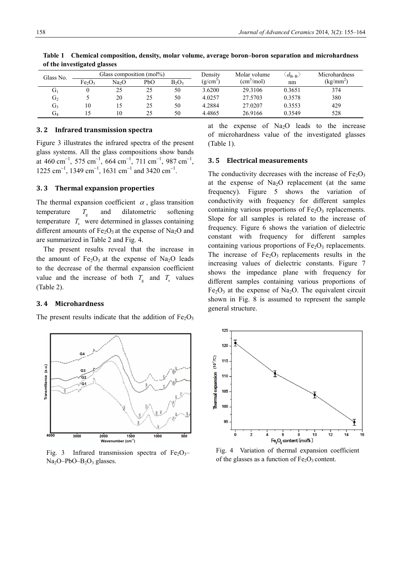| Glass No.      | Glass composition (mol%)       |                   |     |          | Density       | Molar volume               | $\langle d_{\rm B-B} \rangle$ | Microhardness |
|----------------|--------------------------------|-------------------|-----|----------|---------------|----------------------------|-------------------------------|---------------|
|                | Fe <sub>2</sub> O <sub>3</sub> | Na <sub>2</sub> O | PbO | $B_2O_3$ | $(g/cm^{-2})$ | $\text{(cm}^3/\text{mol})$ | nm                            | $(kg/mm^2)$   |
| U.             |                                | 25                | 25  | 50       | 3.6200        | 29.3106                    | 0.3651                        | 374           |
| G <sub>2</sub> |                                | 20                | 25  | 50       | 4.0257        | 27.5703                    | 0.3578                        | 380           |
| G3             | 10                             |                   | 25  | 50       | 4.2884        | 27.0207                    | 0.3553                        | 429           |
| Üл             |                                | 10                | 25  | 50       | 4.4865        | 26.9166                    | 0.3549                        | 528           |

**Table 1 Chemical composition, density, molar volume, average boron–boron separation and microhardness of the investigated glasses** 

#### **3. 2 Infrared transmission spectra**

Figure 3 illustrates the infrared spectra of the present glass systems. All the glass compositions show bands at 460 cm<sup>-1</sup>, 575 cm<sup>-1</sup>, 664 cm<sup>-1</sup>, 711 cm<sup>-1</sup>, 987 cm<sup>-1</sup>,  $1225 \text{ cm}^{-1}$ , 1349 cm<sup>-1</sup>, 1631 cm<sup>-1</sup> and 3420 cm<sup>-1</sup>.

#### **3. 3 Thermal expansion properties**

The thermal expansion coefficient  $\alpha$ , glass transition temperature  $T_{\rm g}$  and dilatometric softening temperature  $T<sub>s</sub>$  were determined in glasses containing different amounts of  $Fe<sub>2</sub>O<sub>3</sub>$  at the expense of Na<sub>2</sub>O and are summarized in Table 2 and Fig. 4.

The present results reveal that the increase in the amount of  $Fe<sub>2</sub>O<sub>3</sub>$  at the expense of Na<sub>2</sub>O leads to the decrease of the thermal expansion coefficient value and the increase of both  $T<sub>s</sub>$  and  $T<sub>s</sub>$  values (Table 2).

#### **3. 4 Microhardness**

The present results indicate that the addition of  $Fe<sub>2</sub>O<sub>3</sub>$ 

at the expense of  $Na<sub>2</sub>O$  leads to the increase of microhardness value of the investigated glasses (Table 1).

#### **3. 5 Electrical measurements**

The conductivity decreases with the increase of  $Fe<sub>2</sub>O<sub>3</sub>$ at the expense of  $Na<sub>2</sub>O$  replacement (at the same frequency). Figure 5 shows the variation of conductivity with frequency for different samples containing various proportions of  $Fe<sub>2</sub>O<sub>3</sub>$  replacements. Slope for all samples is related to the increase of frequency. Figure 6 shows the variation of dielectric constant with frequency for different samples containing various proportions of  $Fe<sub>2</sub>O<sub>3</sub>$  replacements. The increase of  $Fe<sub>2</sub>O<sub>3</sub>$  replacements results in the increasing values of dielectric constants. Figure 7 shows the impedance plane with frequency for different samples containing various proportions of  $Fe<sub>2</sub>O<sub>3</sub>$  at the expense of Na<sub>2</sub>O. The equivalent circuit shown in Fig. 8 is assumed to represent the sample general structure.



Fig. 3 Infrared transmission spectra of  $Fe<sub>2</sub>O<sub>3</sub>$  $Na<sub>2</sub>O-PbO-B<sub>2</sub>O<sub>3</sub>$  glasses.



Fig. 4 Variation of thermal expansion coefficient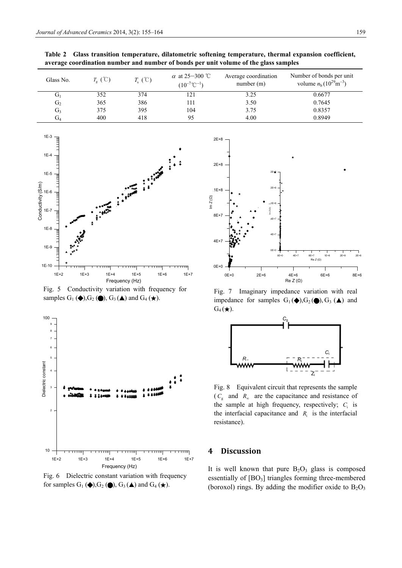| Glass No.      | $T_{\varphi}(\mathcal{C})$ | $T_{s}(\mathcal{C})$ | $\alpha$ at 25–300 °C<br>$(10^{-7}$ °C <sup>-1</sup> ) | Average coordination<br>number(m) | Number of bonds per unit<br>volume $n_b(10^{29} \text{m}^{-3})$ |
|----------------|----------------------------|----------------------|--------------------------------------------------------|-----------------------------------|-----------------------------------------------------------------|
| $G_1$          | 352                        | 374                  | 121                                                    | 3.25                              | 0.6677                                                          |
| G <sub>2</sub> | 365                        | 386                  | l 11                                                   | 3.50                              | 0.7645                                                          |
| $G_3$          | 375                        | 395                  | 104                                                    | 3.75                              | 0.8357                                                          |
| $G_4$          | 400                        | 418                  | 95                                                     | 4.00                              | 0.8949                                                          |

**Table 2 Glass transition temperature, dilatometric softening temperature, thermal expansion coefficient, average coordination number and number of bonds per unit volume of the glass samples** 



Fig. 5 Conductivity variation with frequency for samples  $G_1$  ( $\blacklozenge$ ),  $G_2$  ( $\blacklozenge$ ),  $G_3$  ( $\blacktriangle$ ) and  $G_4$  ( $\star$ ).



Fig. 6 Dielectric constant variation with frequency for samples  $G_1(\blacklozenge)$ ,  $G_2(\blacklozenge)$ ,  $G_3(\blacktriangle)$  and  $G_4(\blacktriangle)$ .



Fig. 7 Imaginary impedance variation with real impedance for samples  $G_1(\blacklozenge), G_2(\blacklozenge), G_3(\blacktriangle)$  and  $G_4(\bigstar)$ .



Fig. 8 Equivalent circuit that represents the sample  $(C_{g}$  and  $R_{\infty}$  are the capacitance and resistance of the sample at high frequency, respectively;  $C_i$  is the interfacial capacitance and  $R_i$  is the interfacial resistance).

## **4 Discussion**

It is well known that pure  $B_2O_3$  glass is composed essentially of  $[BO<sub>3</sub>]$  triangles forming three-membered (boroxol) rings. By adding the modifier oxide to  $B_2O_3$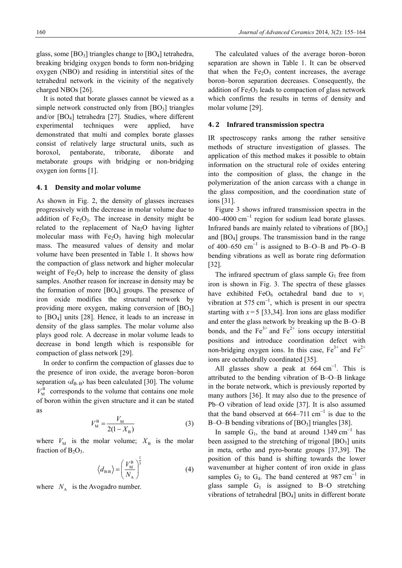glass, some  $[BO_3]$  triangles change to  $[BO_4]$  tetrahedra, breaking bridging oxygen bonds to form non-bridging oxygen (NBO) and residing in interstitial sites of the tetrahedral network in the vicinity of the negatively charged NBOs [26].

It is noted that borate glasses cannot be viewed as a simple network constructed only from  $[BO_3]$  triangles and/or [BO4] tetrahedra [27]. Studies, where different experimental techniques were applied, have demonstrated that multi and complex borate glasses consist of relatively large structural units, such as boroxol, pentaborate, triborate, diborate and metaborate groups with bridging or non-bridging oxygen ion forms [1].

#### **4. 1 Density and molar volume**

As shown in Fig. 2, the density of glasses increases progressively with the decrease in molar volume due to addition of  $Fe<sub>2</sub>O<sub>3</sub>$ . The increase in density might be related to the replacement of  $Na<sub>2</sub>O$  having lighter molecular mass with  $Fe<sub>2</sub>O<sub>3</sub>$  having high molecular mass. The measured values of density and molar volume have been presented in Table 1. It shows how the compaction of glass network and higher molecular weight of  $Fe<sub>2</sub>O<sub>3</sub>$  help to increase the density of glass samples. Another reason for increase in density may be the formation of more  $[BO_4]$  groups. The presence of iron oxide modifies the structural network by providing more oxygen, making conversion of  $[BO_3]$ to [BO4] units [28]. Hence, it leads to an increase in density of the glass samples. The molar volume also plays good role. A decrease in molar volume leads to decrease in bond length which is responsible for compaction of glass network [29].

In order to confirm the compaction of glasses due to the presence of iron oxide, the average boron–boron separation  $\langle d_{\text{B}-\text{B}} \rangle$  has been calculated [30]. The volume  $V_{\text{M}}^{\text{B}}$  corresponds to the volume that contains one mole of boron within the given structure and it can be stated as

$$
V_{\rm M}^{\rm B} = \frac{V_{\rm M}}{2(1 - X_{\rm B})} \tag{3}
$$

where  $V_M$  is the molar volume;  $X_B$  is the molar fraction of  $B_2O_3$ .

$$
\left\langle d_{\rm B-B} \right\rangle = \left(\frac{V_{\rm M}^{\rm B}}{N_{\rm A}}\right)^{\frac{1}{3}} \tag{4}
$$

where  $N_A$  is the Avogadro number.

The calculated values of the average boron–boron separation are shown in Table 1. It can be observed that when the  $Fe<sub>2</sub>O<sub>3</sub>$  content increases, the average boron–boron separation decreases. Consequently, the addition of  $Fe<sub>2</sub>O<sub>3</sub>$  leads to compaction of glass network which confirms the results in terms of density and molar volume [29].

#### **4. 2 Infrared transmission spectra**

IR spectroscopy ranks among the rather sensitive methods of structure investigation of glasses. The application of this method makes it possible to obtain information on the structural role of oxides entering into the composition of glass, the change in the polymerization of the anion carcass with a change in the glass composition, and the coordination state of ions [31].

Figure 3 shows infrared transmission spectra in the  $400-4000$  cm<sup>-1</sup> region for sodium lead borate glasses. Infrared bands are mainly related to vibrations of  $[BO_3]$ and  $[BO_4]$  groups. The transmission band in the range of 400–650  $\text{cm}^{-1}$  is assigned to B–O–B and Pb–O–B bending vibrations as well as borate ring deformation [32].

The infrared spectrum of glass sample  $G_1$  free from iron is shown in Fig. 3. The spectra of these glasses have exhibited FeO<sub>6</sub> octahedral band due to  $v_1$ vibration at 575 cm<sup>-1</sup>, which is present in our spectra starting with  $x = 5$  [33,34]. Iron ions are glass modifier and enter the glass network by breaking up the B–O–B bonds, and the  $Fe^{3+}$  and  $Fe^{2+}$  ions occupy interstitial positions and introduce coordination defect with non-bridging oxygen ions. In this case,  $Fe^{3+}$  and  $Fe^{2+}$ ions are octahedrally coordinated [35].

All glasses show a peak at  $664 \text{ cm}^{-1}$ . This is attributed to the bending vibration of B–O–B linkage in the borate network, which is previously reported by many authors [36]. It may also due to the presence of Pb–O vibration of lead oxide [37]. It is also assumed that the band observed at  $664-711$  cm<sup>-1</sup> is due to the B–O–B bending vibrations of  $[BO<sub>3</sub>]$  triangles  $[38]$ .

In sample  $G_1$ , the band at around 1349 cm<sup>-1</sup> has been assigned to the stretching of trigonal  $[BO_3]$  units in meta, ortho and pyro-borate groups [37,39]. The position of this band is shifting towards the lower wavenumber at higher content of iron oxide in glass samples  $G_2$  to  $G_4$ . The band centered at 987 cm<sup>-1</sup> in glass sample  $G_1$  is assigned to B–O stretching vibrations of tetrahedral [BO4] units in different borate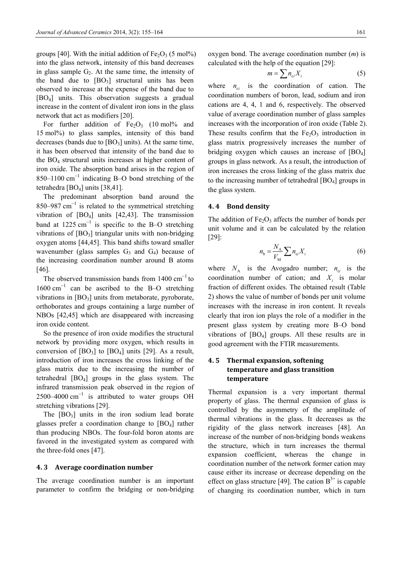groups [40]. With the initial addition of  $Fe<sub>2</sub>O<sub>3</sub>$  (5 mol%) into the glass network, intensity of this band decreases in glass sample  $G<sub>2</sub>$ . At the same time, the intensity of the band due to  $[BO_3]$  structural units has been observed to increase at the expense of the band due to [BO4] units. This observation suggests a gradual increase in the content of divalent iron ions in the glass network that act as modifiers [20].

For further addition of  $Fe<sub>2</sub>O<sub>3</sub>$  (10 mol% and 15 mol%) to glass samples, intensity of this band decreases (bands due to  $[BO<sub>3</sub>]$  units). At the same time, it has been observed that intensity of the band due to the BO4 structural units increases at higher content of iron oxide. The absorption band arises in the region of  $850-1100$  cm<sup>-1</sup> indicating B-O bond stretching of the tetrahedra [BO<sub>4</sub>] units [38,41].

The predominant absorption band around the 850–987  $\text{cm}^{-1}$  is related to the symmetrical stretching vibration of  $[BO_4]$  units  $[42, 43]$ . The transmission band at  $1225 \text{ cm}^{-1}$  is specific to the B-O stretching vibrations of  $[BO_3]$  triangular units with non-bridging oxygen atoms [44,45]. This band shifts toward smaller wavenumber (glass samples  $G_3$  and  $G_4$ ) because of the increasing coordination number around B atoms [46].

The observed transmission bands from  $1400 \text{ cm}^{-1}$  to  $1600 \text{ cm}^{-1}$  can be ascribed to the B-O stretching vibrations in  $[BO_3]$  units from metaborate, pyroborate, orthoborates and groups containing a large number of NBOs [42,45] which are disappeared with increasing iron oxide content.

So the presence of iron oxide modifies the structural network by providing more oxygen, which results in conversion of  $[BO_3]$  to  $[BO_4]$  units  $[29]$ . As a result, introduction of iron increases the cross linking of the glass matrix due to the increasing the number of tetrahedral  $[BO_4]$  groups in the glass system. The infrared transmission peak observed in the region of 2500–4000  $\text{cm}^{-1}$  is attributed to water groups OH stretching vibrations [29].

The  $[BO_3]$  units in the iron sodium lead borate glasses prefer a coordination change to [BO4] rather than producing NBOs. The four-fold boron atoms are favored in the investigated system as compared with the three-fold ones [47].

#### **4. 3 Average coordination number**

The average coordination number is an important parameter to confirm the bridging or non-bridging oxygen bond. The average coordination number (*m*) is calculated with the help of the equation [29]:

$$
m = \sum n_{ci} X_i \tag{5}
$$

where  $n_{ci}$  is the coordination of cation. The coordination numbers of boron, lead, sodium and iron cations are 4, 4, 1 and 6, respectively. The observed value of average coordination number of glass samples increases with the incorporation of iron oxide (Table 2). These results confirm that the  $Fe<sub>2</sub>O<sub>3</sub>$  introduction in glass matrix progressively increases the number of bridging oxygen which causes an increase of  $[BO_4]$ groups in glass network. As a result, the introduction of iron increases the cross linking of the glass matrix due to the increasing number of tetrahedral  $[BO_4]$  groups in the glass system.

#### **4. 4 Bond density**

The addition of  $Fe<sub>2</sub>O<sub>3</sub>$  affects the number of bonds per unit volume and it can be calculated by the relation [29]:

$$
n_{\rm b} = \frac{N_{\rm A}}{V_{\rm M}} \sum n_{\rm ci} X_i \tag{6}
$$

where  $N_A$  is the Avogadro number;  $n_{ci}$  is the coordination number of cation; and  $X_i$  is molar fraction of different oxides. The obtained result (Table 2) shows the value of number of bonds per unit volume increases with the increase in iron content. It reveals clearly that iron ion plays the role of a modifier in the present glass system by creating more B–O bond vibrations of  $[BO_4]$  groups. All these results are in good agreement with the FTIR measurements.

## **4. 5 Thermal expansion, softening temperature and glass transition temperature**

Thermal expansion is a very important thermal property of glass. The thermal expansion of glass is controlled by the asymmetry of the amplitude of thermal vibrations in the glass. It decreases as the rigidity of the glass network increases [48]. An increase of the number of non-bridging bonds weakens the structure, which in turn increases the thermal expansion coefficient, whereas the change in coordination number of the network former cation may cause either its increase or decrease depending on the effect on glass structure [49]. The cation  $B^{3+}$  is capable of changing its coordination number, which in turn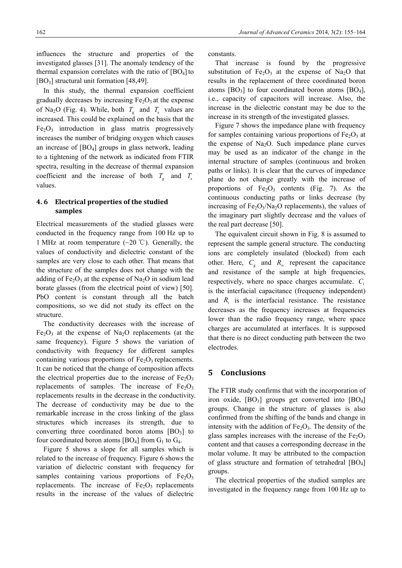influences the structure and properties of the investigated glasses [31]. The anomaly tendency of the thermal expansion correlates with the ratio of  $[BO_4]$  to  $[BO<sub>3</sub>]$  structural unit formation  $[48,49]$ .

In this study, the thermal expansion coefficient gradually decreases by increasing  $Fe<sub>2</sub>O<sub>3</sub>$  at the expense of Na<sub>2</sub>O (Fig. 4). While, both  $T_g$  and  $T_s$  values are increased. This could be explained on the basis that the  $Fe<sub>2</sub>O<sub>3</sub>$  introduction in glass matrix progressively increases the number of bridging oxygen which causes an increase of  $[BO_4]$  groups in glass network, leading to a tightening of the network as indicated from FTIR spectra, resulting in the decrease of thermal expansion coefficient and the increase of both  $T_g$  and  $T_s$ values.

## **4. 6 Electrical properties of the studied samples**

Electrical measurements of the studied glasses were conducted in the frequency range from 100 Hz up to 1 MHz at room temperature ( $\sim$ 20 °C). Generally, the values of conductivity and dielectric constant of the samples are very close to each other. That means that the structure of the samples does not change with the adding of  $Fe<sub>2</sub>O<sub>3</sub>$  at the expense of Na<sub>2</sub>O in sodium lead borate glasses (from the electrical point of view) [50]. PbO content is constant through all the batch compositions, so we did not study its effect on the structure.

The conductivity decreases with the increase of  $Fe<sub>2</sub>O<sub>3</sub>$  at the expense of Na<sub>2</sub>O replacements (at the same frequency). Figure 5 shows the variation of conductivity with frequency for different samples containing various proportions of  $Fe<sub>2</sub>O<sub>3</sub>$  replacements. It can be noticed that the change of composition affects the electrical properties due to the increase of  $Fe<sub>2</sub>O<sub>3</sub>$ replacements of samples. The increase of  $Fe<sub>2</sub>O<sub>3</sub>$ replacements results in the decrease in the conductivity. The decrease of conductivity may be due to the remarkable increase in the cross linking of the glass structures which increases its strength, due to converting three coordinated boron atoms  $[BO<sub>3</sub>]$  to four coordinated boron atoms  $[BO_4]$  from  $G_1$  to  $G_4$ .

Figure 5 shows a slope for all samples which is related to the increase of frequency. Figure 6 shows the variation of dielectric constant with frequency for samples containing various proportions of  $Fe<sub>2</sub>O<sub>3</sub>$ replacements. The increase of  $Fe<sub>2</sub>O<sub>3</sub>$  replacements results in the increase of the values of dielectric

constants.

That increase is found by the progressive substitution of  $Fe<sub>2</sub>O<sub>3</sub>$  at the expense of Na<sub>2</sub>O that results in the replacement of three coordinated boron atoms  $[BO_3]$  to four coordinated boron atoms  $[BO_4]$ , i.e., capacity of capacitors will increase. Also, the increase in the dielectric constant may be due to the increase in its strength of the investigated glasses.

Figure 7 shows the impedance plane with frequency for samples containing various proportions of  $Fe<sub>2</sub>O<sub>3</sub>$  at the expense of  $Na<sub>2</sub>O$ . Such impedance plane curves may be used as an indicator of the change in the internal structure of samples (continuous and broken paths or links). It is clear that the curves of impedance plane do not change greatly with the increase of proportions of  $Fe<sub>2</sub>O<sub>3</sub>$  contents (Fig. 7). As the continuous conducting paths or links decrease (by increasing of  $Fe<sub>2</sub>O<sub>3</sub>/Na<sub>2</sub>O$  replacements), the values of the imaginary part slightly decrease and the values of the real part decrease [50].

The equivalent circuit shown in Fig. 8 is assumed to represent the sample general structure. The conducting ions are completely insulated (blocked) from each other. Here,  $C_g$  and  $R_g$  represent the capacitance and resistance of the sample at high frequencies, respectively, where no space charges accumulate. *C*<sup>i</sup> is the interfacial capacitance (frequency independent) and  $R_i$  is the interfacial resistance. The resistance decreases as the frequency increases at frequencies lower than the radio frequency range, where space charges are accumulated at interfaces. It is supposed that there is no direct conducting path between the two electrodes.

### **5 Conclusions**

The FTIR study confirms that with the incorporation of iron oxide,  $[BO_3]$  groups get converted into  $[BO_4]$ groups. Change in the structure of glasses is also confirmed from the shifting of the bands and change in intensity with the addition of  $Fe<sub>2</sub>O<sub>3</sub>$ . The density of the glass samples increases with the increase of the  $Fe<sub>2</sub>O<sub>3</sub>$ content and that causes a corresponding decrease in the molar volume. It may be attributed to the compaction of glass structure and formation of tetrahedral [BO4] groups.

The electrical properties of the studied samples are investigated in the frequency range from 100 Hz up to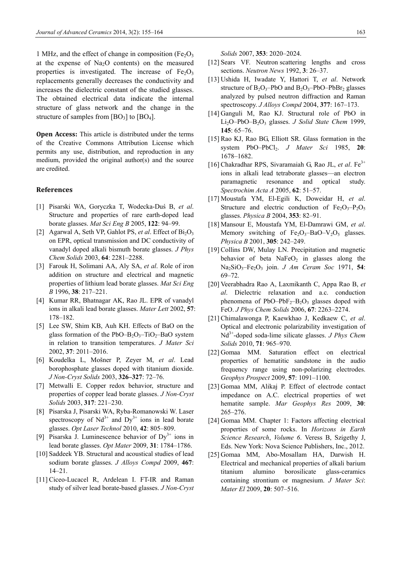1 MHz, and the effect of change in composition ( $Fe<sub>2</sub>O<sub>3</sub>$ ) at the expense of  $Na<sub>2</sub>O$  contents) on the measured properties is investigated. The increase of  $Fe<sub>2</sub>O<sub>3</sub>$ replacements generally decreases the conductivity and increases the dielectric constant of the studied glasses. The obtained electrical data indicate the internal structure of glass network and the change in the structure of samples from  $[BO_3]$  to  $[BO_4]$ .

**Open Access:** This article is distributed under the terms of the Creative Commons Attribution License which permits any use, distribution, and reproduction in any medium, provided the original author(s) and the source are credited.

#### **References**

- [1] Pisarski WA, Goryczka T, Wodecka-Duś B, *et al*. Structure and properties of rare earth-doped lead borate glasses. *Mat Sci Eng B* 2005, **122**: 94–99.
- [2] Agarwal A, Seth VP, Gahlot PS, *et al.* Effect of  $Bi<sub>2</sub>O<sub>3</sub>$ on EPR, optical transmission and DC conductivity of vanadyl doped alkali bismuth borate glasses. *J Phys Chem Solids* 2003, **64**: 2281–2288.
- [3] Farouk H, Solimani AA, Aly SA, *et al*. Role of iron addition on structure and electrical and magnetic properties of lithium lead borate glasses. *Mat Sci Eng B* 1996, **38**: 217–221.
- [4] Kumar RR, Bhatnagar AK, Rao JL. EPR of vanadyl ions in alkali lead borate glasses. *Mater Lett* 2002, **57**: 178–182.
- [5] Lee SW, Shim KB, Auh KH. Effects of BaO on the glass formation of the  $PbO-B_2O_3-TiO_2-BaO$  system in relation to transition temperatures. *J Mater Sci* 2002, **37**: 2011–2016.
- [6] Koudelka L, Mošner P, Zeyer M, *et al*. Lead borophosphate glasses doped with titanium dioxide. *J Non-Cryst Solids* 2003, **326–327**: 72–76.
- [7] Metwalli E. Copper redox behavior, structure and properties of copper lead borate glasses. *J Non-Cryst Solids* 2003, **317**: 221–230.
- [8] Pisarska J, Pisarski WA, Ryba-Romanowski W. Laser spectroscopy of  $Nd^{3+}$  and  $Dy^{3+}$  ions in lead borate glasses. *Opt Laser Technol* 2010, **42**: 805–809.
- [9] Pisarska J. Luminescence behavior of  $Dy^{3+}$  ions in lead borate glasses. *Opt Mater* 2009, **31**: 1784–1786.
- [10] Saddeek YB. Structural and acoustical studies of lead sodium borate glasses. *J Alloys Compd* 2009, **467**: 14–21.
- [11] Ciceo-Lucacel R, Ardelean I. FT-IR and Raman study of silver lead borate-based glasses. *J Non-Cryst*

*Solids* 2007, **353**: 2020–2024.

- [12] Sears VF. Neutron scattering lengths and cross sections. *Neutron News* 1992, **3**: 26–37.
- [13] Ushida H, Iwadate Y, Hattori T, *et al*. Network structure of  $B_2O_3$ -PbO and  $B_2O_3$ -PbO-PbBr<sub>2</sub> glasses analyzed by pulsed neutron diffraction and Raman spectroscopy. *J Alloys Compd* 2004, **377**: 167–173.
- [14] Ganguli M, Rao KJ. Structural role of PbO in Li2O–PbO–B2O3 glasses. *J Solid State Chem* 1999, **145**: 65–76.
- [15] Rao KJ, Rao BG, Elliott SR. Glass formation in the system PbO–PbCl2. *J Mater Sci* 1985, **20**: 1678–1682.
- [16] Chakradhar RPS, Sivaramaiah G, Rao JL, *et al*. Fe3+ ions in alkali lead tetraborate glasses—an electron paramagnetic resonance and optical study. *Spectrochim Acta A* 2005, **62**: 51–57.
- [17] Moustafa YM, El-Egili K, Doweidar H, *et al*. Structure and electric conduction of  $Fe<sub>2</sub>O<sub>3</sub>–P<sub>2</sub>O<sub>5</sub>$ glasses. *Physica B* 2004, **353**: 82–91.
- [18] Mansour E, Moustafa YM, El-Damrawi GM, *et al*. Memory switching of  $Fe<sub>2</sub>O<sub>3</sub>–BaO–V<sub>2</sub>O<sub>5</sub>$  glasses. *Physica B* 2001, **305**: 242–249.
- [19] Collins DW, Mulay LN. Precipitation and magnetic behavior of beta  $NaFeO<sub>2</sub>$  in glasses along the Na2SiO3–Fe2O3 join. *J Am Ceram Soc* 1971, **54**: 69–72.
- [20] Veerabhadra Rao A, Laxmikanth C, Appa Rao B, *et al*. Dielectric relaxation and a.c. conduction phenomena of PbO–PbF<sub>2</sub>–B<sub>2</sub>O<sub>3</sub> glasses doped with FeO. *J Phys Chem Solids* 2006, **67**: 2263–2274.
- [21] Chimalawonga P, Kaewkhao J, Kedkaew C, *et al*. Optical and electronic polarizability investigation of Nd3+-doped soda-lime silicate glasses. *J Phys Chem Solids* 2010, **71**: 965–970.
- [22] Gomaa MM. Saturation effect on electrical properties of hematitic sandstone in the audio frequency range using non-polarizing electrodes. *Geophys Prospect* 2009, **57**: 1091–1100.
- [23] Gomaa MM, Alikaj P. Effect of electrode contact impedance on A.C. electrical properties of wet hematite sample. *Mar Geophys Res* 2009, **30**: 265–276.
- [24] Gomaa MM. Chapter 1: Factors affecting electrical properties of some rocks. In *Horizons in Earth Science Research*, *Volume 6*. Veress B, Szigethy J, Eds. New York: Nova Science Publishers, Inc., 2012.
- [25] Gomaa MM, Abo-Mosallam HA, Darwish H. Electrical and mechanical properties of alkali barium titanium alumino borosilicate glass-ceramics containing strontium or magnesium. *J Mater Sci*: *Mater El* 2009, **20**: 507–516.